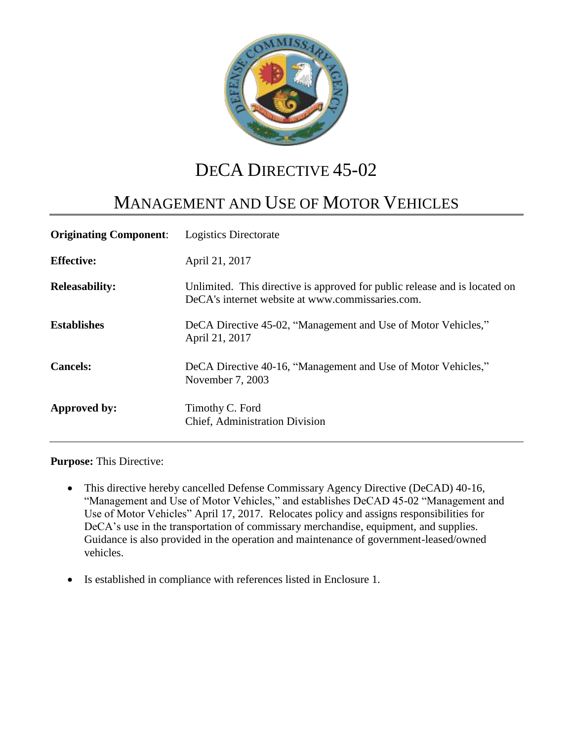

# DECA DIRECTIVE 45-02

# MANAGEMENT AND USE OF MOTOR VEHICLES

| <b>Originating Component:</b> | Logistics Directorate                                                                                                          |
|-------------------------------|--------------------------------------------------------------------------------------------------------------------------------|
| <b>Effective:</b>             | April 21, 2017                                                                                                                 |
| <b>Releasability:</b>         | Unlimited. This directive is approved for public release and is located on<br>DeCA's internet website at www.commissaries.com. |
| <b>Establishes</b>            | DeCA Directive 45-02, "Management and Use of Motor Vehicles,"<br>April 21, 2017                                                |
| <b>Cancels:</b>               | DeCA Directive 40-16, "Management and Use of Motor Vehicles,"<br>November 7, 2003                                              |
| Approved by:                  | Timothy C. Ford<br>Chief, Administration Division                                                                              |

**Purpose:** This Directive:

- This directive hereby cancelled Defense Commissary Agency Directive (DeCAD) 40-16, "Management and Use of Motor Vehicles," and establishes DeCAD 45-02 "Management and Use of Motor Vehicles" April 17, 2017. Relocates policy and assigns responsibilities for DeCA's use in the transportation of commissary merchandise, equipment, and supplies. Guidance is also provided in the operation and maintenance of government-leased/owned vehicles.
- Is established in compliance with references listed in Enclosure 1.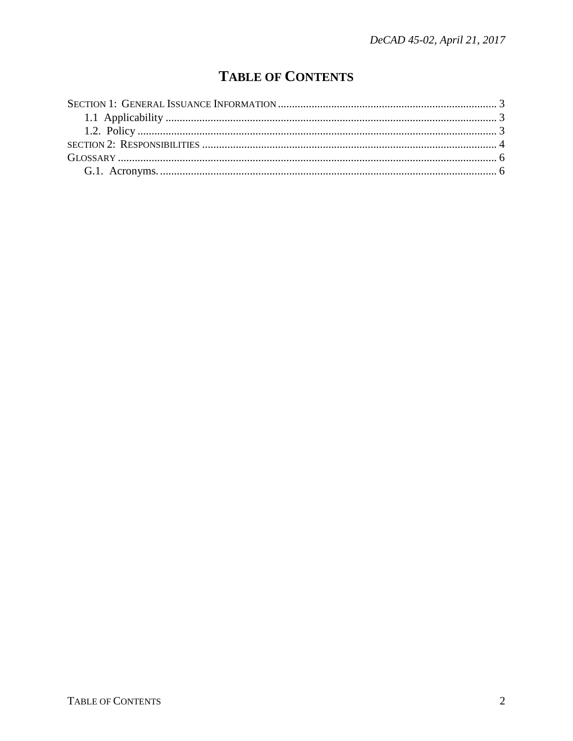## **TABLE OF CONTENTS**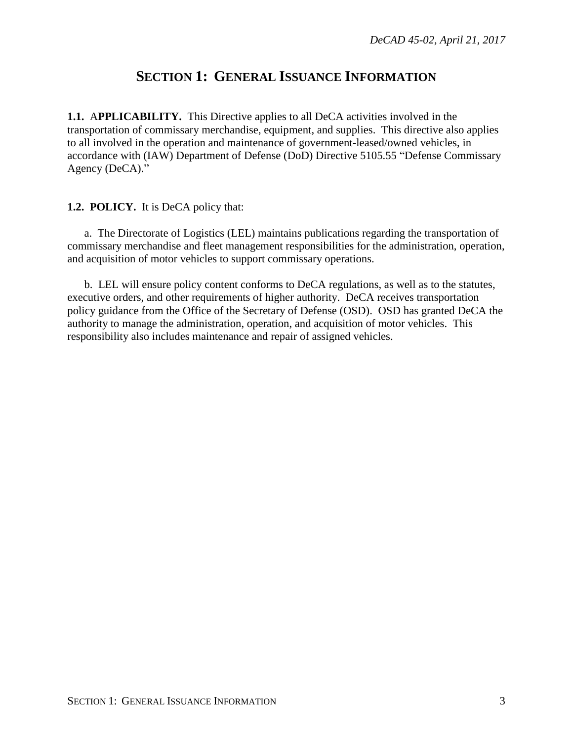## **SECTION 1: GENERAL ISSUANCE INFORMATION**

<span id="page-2-1"></span><span id="page-2-0"></span>**1.1.** A**PPLICABILITY.** This Directive applies to all DeCA activities involved in the transportation of commissary merchandise, equipment, and supplies. This directive also applies to all involved in the operation and maintenance of government-leased/owned vehicles, in accordance with (IAW) Department of Defense (DoD) Directive 5105.55 "Defense Commissary Agency (DeCA)."

#### <span id="page-2-2"></span>**1.2. POLICY.** It is DeCA policy that:

a. The Directorate of Logistics (LEL) maintains publications regarding the transportation of commissary merchandise and fleet management responsibilities for the administration, operation, and acquisition of motor vehicles to support commissary operations.

b. LEL will ensure policy content conforms to DeCA regulations, as well as to the statutes, executive orders, and other requirements of higher authority. DeCA receives transportation policy guidance from the Office of the Secretary of Defense (OSD). OSD has granted DeCA the authority to manage the administration, operation, and acquisition of motor vehicles. This responsibility also includes maintenance and repair of assigned vehicles.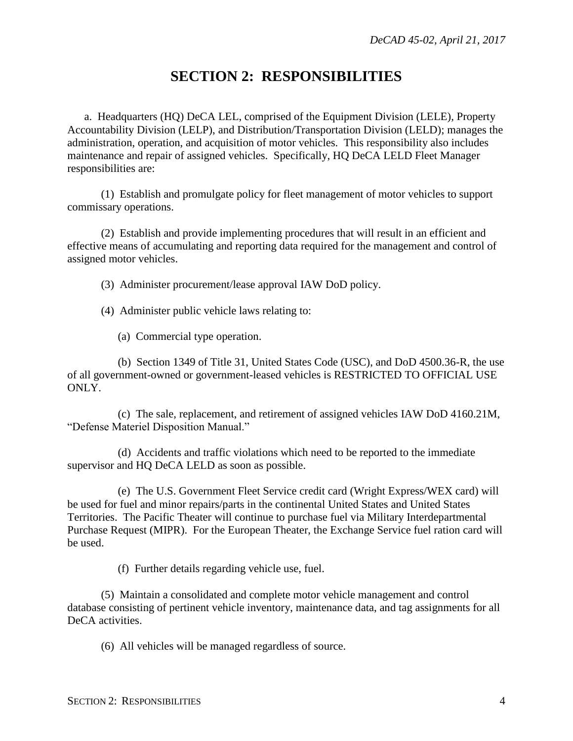## **SECTION 2: RESPONSIBILITIES**

<span id="page-3-0"></span>a. Headquarters (HQ) DeCA LEL, comprised of the Equipment Division (LELE), Property Accountability Division (LELP), and Distribution/Transportation Division (LELD); manages the administration, operation, and acquisition of motor vehicles. This responsibility also includes maintenance and repair of assigned vehicles. Specifically, HQ DeCA LELD Fleet Manager responsibilities are:

(1) Establish and promulgate policy for fleet management of motor vehicles to support commissary operations.

(2) Establish and provide implementing procedures that will result in an efficient and effective means of accumulating and reporting data required for the management and control of assigned motor vehicles.

(3) Administer procurement/lease approval IAW DoD policy.

(4) Administer public vehicle laws relating to:

(a) Commercial type operation.

(b) Section 1349 of Title 31, United States Code (USC), and DoD 4500.36-R, the use of all government-owned or government-leased vehicles is RESTRICTED TO OFFICIAL USE ONLY.

(c) The sale, replacement, and retirement of assigned vehicles IAW DoD 4160.21M, "Defense Materiel Disposition Manual."

(d) Accidents and traffic violations which need to be reported to the immediate supervisor and HQ DeCA LELD as soon as possible.

(e) The U.S. Government Fleet Service credit card (Wright Express/WEX card) will be used for fuel and minor repairs/parts in the continental United States and United States Territories. The Pacific Theater will continue to purchase fuel via Military Interdepartmental Purchase Request (MIPR). For the European Theater, the Exchange Service fuel ration card will be used.

(f) Further details regarding vehicle use, fuel.

(5) Maintain a consolidated and complete motor vehicle management and control database consisting of pertinent vehicle inventory, maintenance data, and tag assignments for all DeCA activities.

(6) All vehicles will be managed regardless of source.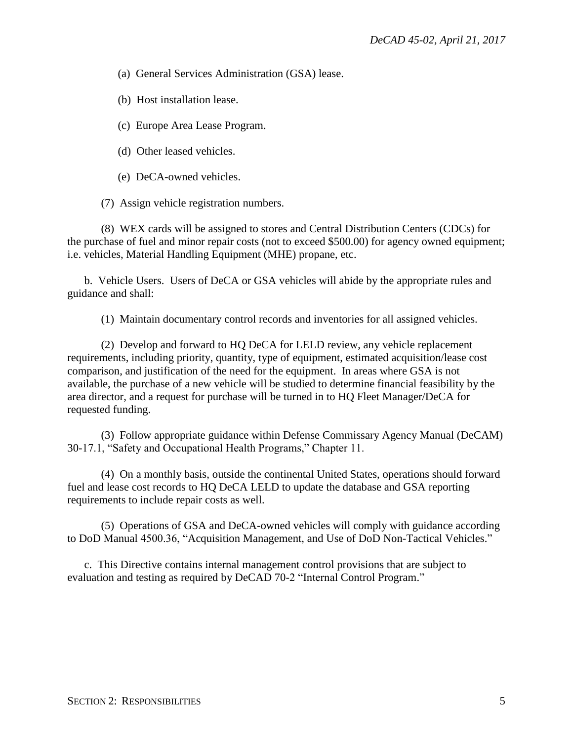(a) General Services Administration (GSA) lease.

(b) Host installation lease.

- (c) Europe Area Lease Program.
- (d) Other leased vehicles.

(e) DeCA-owned vehicles.

(7) Assign vehicle registration numbers.

(8) WEX cards will be assigned to stores and Central Distribution Centers (CDCs) for the purchase of fuel and minor repair costs (not to exceed \$500.00) for agency owned equipment; i.e. vehicles, Material Handling Equipment (MHE) propane, etc.

b. Vehicle Users. Users of DeCA or GSA vehicles will abide by the appropriate rules and guidance and shall:

(1) Maintain documentary control records and inventories for all assigned vehicles.

(2) Develop and forward to HQ DeCA for LELD review, any vehicle replacement requirements, including priority, quantity, type of equipment, estimated acquisition/lease cost comparison, and justification of the need for the equipment. In areas where GSA is not available, the purchase of a new vehicle will be studied to determine financial feasibility by the area director, and a request for purchase will be turned in to HQ Fleet Manager/DeCA for requested funding.

(3) Follow appropriate guidance within Defense Commissary Agency Manual (DeCAM) 30-17.1, "Safety and Occupational Health Programs," Chapter 11.

(4) On a monthly basis, outside the continental United States, operations should forward fuel and lease cost records to HQ DeCA LELD to update the database and GSA reporting requirements to include repair costs as well.

(5) Operations of GSA and DeCA-owned vehicles will comply with guidance according to DoD Manual 4500.36, "Acquisition Management, and Use of DoD Non-Tactical Vehicles."

c. This Directive contains internal management control provisions that are subject to evaluation and testing as required by DeCAD 70-2 "Internal Control Program."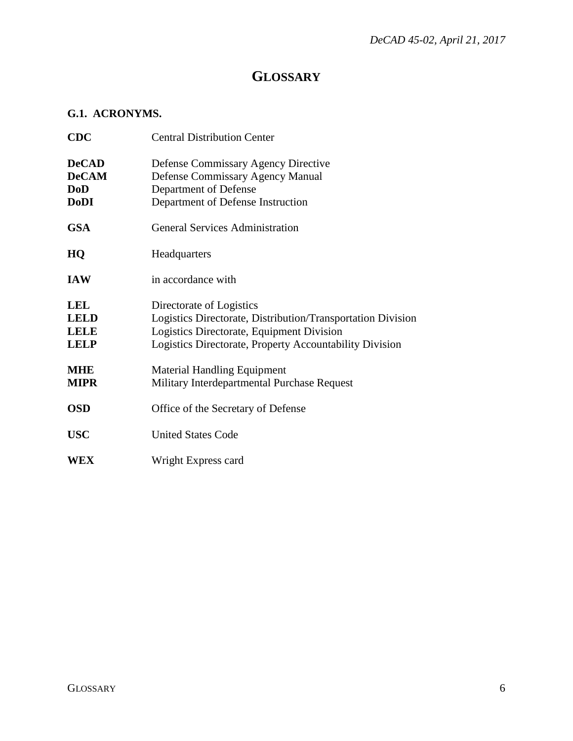## **GLOSSARY**

#### <span id="page-5-1"></span><span id="page-5-0"></span>**G.1. ACRONYMS.**

| <b>CDC</b>                                                | <b>Central Distribution Center</b>                                                                                                                                                              |
|-----------------------------------------------------------|-------------------------------------------------------------------------------------------------------------------------------------------------------------------------------------------------|
| <b>DeCAD</b><br><b>DeCAM</b><br><b>DoD</b><br><b>DoDI</b> | <b>Defense Commissary Agency Directive</b><br><b>Defense Commissary Agency Manual</b><br>Department of Defense<br>Department of Defense Instruction                                             |
| <b>GSA</b>                                                | <b>General Services Administration</b>                                                                                                                                                          |
| HQ                                                        | Headquarters                                                                                                                                                                                    |
| <b>IAW</b>                                                | in accordance with                                                                                                                                                                              |
| <b>LEL</b><br><b>LELD</b><br><b>LELE</b><br><b>LELP</b>   | Directorate of Logistics<br>Logistics Directorate, Distribution/Transportation Division<br>Logistics Directorate, Equipment Division<br>Logistics Directorate, Property Accountability Division |
| <b>MHE</b><br><b>MIPR</b>                                 | <b>Material Handling Equipment</b><br>Military Interdepartmental Purchase Request                                                                                                               |
| <b>OSD</b>                                                | Office of the Secretary of Defense                                                                                                                                                              |
| <b>USC</b>                                                | <b>United States Code</b>                                                                                                                                                                       |
| WEX                                                       | Wright Express card                                                                                                                                                                             |